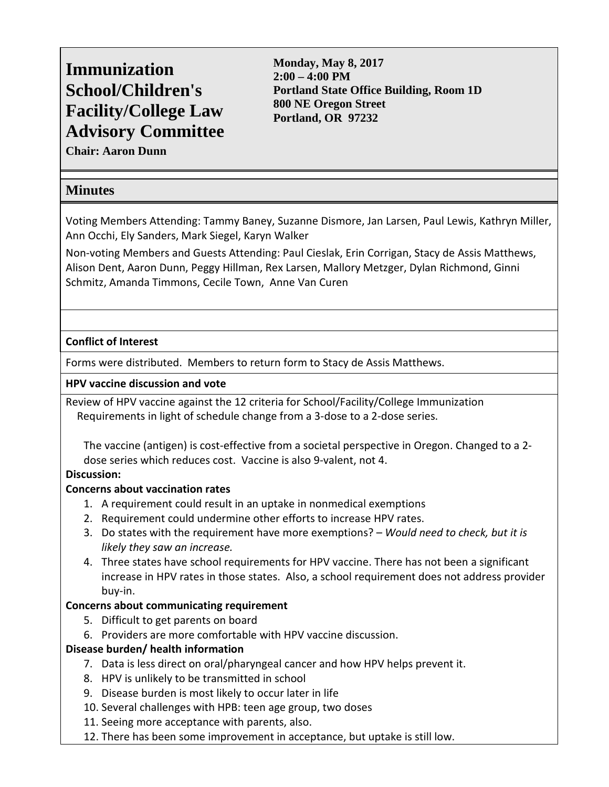# **Immunization School/Children's Facility/College Law Advisory Committee**

**Monday, May 8, 2017 2:00 – 4:00 PM Portland State Office Building, Room 1D 800 NE Oregon Street Portland, OR 97232**

**Chair: Aaron Dunn**

# **Minutes**

Voting Members Attending: Tammy Baney, Suzanne Dismore, Jan Larsen, Paul Lewis, Kathryn Miller, Ann Occhi, Ely Sanders, Mark Siegel, Karyn Walker

Non-voting Members and Guests Attending: Paul Cieslak, Erin Corrigan, Stacy de Assis Matthews, Alison Dent, Aaron Dunn, Peggy Hillman, Rex Larsen, Mallory Metzger, Dylan Richmond, Ginni Schmitz, Amanda Timmons, Cecile Town, Anne Van Curen

## **Conflict of Interest**

Forms were distributed. Members to return form to Stacy de Assis Matthews.

#### **HPV vaccine discussion and vote**

Review of HPV vaccine against the 12 criteria for School/Facility/College Immunization Requirements in light of schedule change from a 3-dose to a 2-dose series.

The vaccine (antigen) is cost-effective from a societal perspective in Oregon. Changed to a 2 dose series which reduces cost. Vaccine is also 9-valent, not 4.

#### **Discussion:**

#### **Concerns about vaccination rates**

- 1. A requirement could result in an uptake in nonmedical exemptions
- 2. Requirement could undermine other efforts to increase HPV rates.
- 3. Do states with the requirement have more exemptions? *Would need to check, but it is likely they saw an increase.*
- 4. Three states have school requirements for HPV vaccine. There has not been a significant increase in HPV rates in those states. Also, a school requirement does not address provider buy-in.

#### **Concerns about communicating requirement**

- 5. Difficult to get parents on board
- 6. Providers are more comfortable with HPV vaccine discussion.

#### **Disease burden/ health information**

- 7. Data is less direct on oral/pharyngeal cancer and how HPV helps prevent it.
- 8. HPV is unlikely to be transmitted in school
- 9. Disease burden is most likely to occur later in life
- 10. Several challenges with HPB: teen age group, two doses
- 11. Seeing more acceptance with parents, also.
- 12. There has been some improvement in acceptance, but uptake is still low.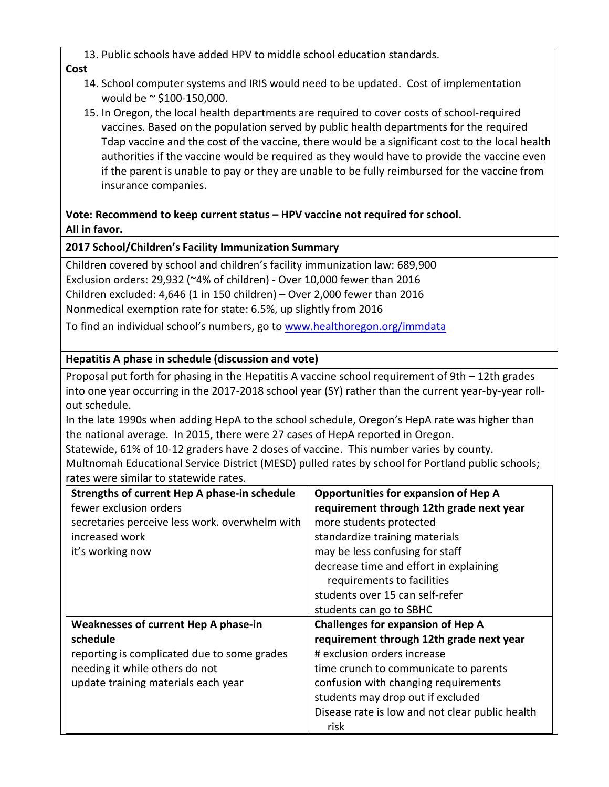13. Public schools have added HPV to middle school education standards.

#### **Cost**

- 14. School computer systems and IRIS would need to be updated. Cost of implementation would be ~ \$100-150,000.
- 15. In Oregon, the local health departments are required to cover costs of school-required vaccines. Based on the population served by public health departments for the required Tdap vaccine and the cost of the vaccine, there would be a significant cost to the local health authorities if the vaccine would be required as they would have to provide the vaccine even if the parent is unable to pay or they are unable to be fully reimbursed for the vaccine from insurance companies.

## **Vote: Recommend to keep current status – HPV vaccine not required for school. All in favor.**

## **2017 School/Children's Facility Immunization Summary**

Children covered by school and children's facility immunization law: 689,900 Exclusion orders: 29,932 (~4% of children) - Over 10,000 fewer than 2016 Children excluded: 4,646 (1 in 150 children) – Over 2,000 fewer than 2016 Nonmedical exemption rate for state: 6.5%, up slightly from 2016

To find an individual school's numbers, go to [www.healthoregon.org/immdata](http://www.healthoregon.org/immdata)

# **Hepatitis A phase in schedule (discussion and vote)**

Proposal put forth for phasing in the Hepatitis A vaccine school requirement of 9th – 12th grades into one year occurring in the 2017-2018 school year (SY) rather than the current year-by-year rollout schedule.

In the late 1990s when adding HepA to the school schedule, Oregon's HepA rate was higher than the national average. In 2015, there were 27 cases of HepA reported in Oregon.

Statewide, 61% of 10-12 graders have 2 doses of vaccine. This number varies by county. Multnomah Educational Service District (MESD) pulled rates by school for Portland public schools; rates were similar to statewide rates.

| Strengths of current Hep A phase-in schedule   | <b>Opportunities for expansion of Hep A</b>     |
|------------------------------------------------|-------------------------------------------------|
| fewer exclusion orders                         | requirement through 12th grade next year        |
| secretaries perceive less work. overwhelm with | more students protected                         |
| increased work                                 | standardize training materials                  |
| it's working now                               | may be less confusing for staff                 |
|                                                | decrease time and effort in explaining          |
|                                                | requirements to facilities                      |
|                                                | students over 15 can self-refer                 |
|                                                | students can go to SBHC                         |
| Weaknesses of current Hep A phase-in           | <b>Challenges for expansion of Hep A</b>        |
| schedule                                       | requirement through 12th grade next year        |
| reporting is complicated due to some grades    | # exclusion orders increase                     |
| needing it while others do not                 | time crunch to communicate to parents           |
| update training materials each year            | confusion with changing requirements            |
|                                                | students may drop out if excluded               |
|                                                | Disease rate is low and not clear public health |
|                                                | risk                                            |